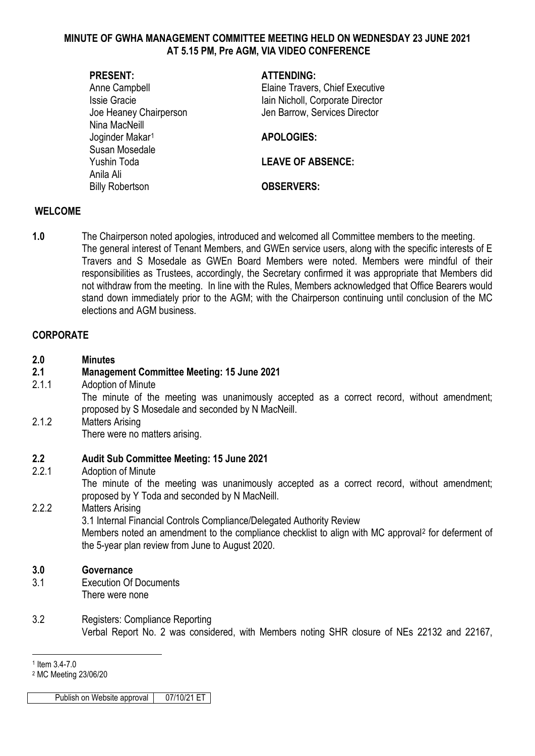#### **MINUTE OF GWHA MANAGEMENT COMMITTEE MEETING HELD ON WEDNESDAY 23 JUNE 2021 AT 5.15 PM, Pre AGM, VIA VIDEO CONFERENCE**

| <b>PRESENT:</b>             | <b>ATTENDING:</b>                |
|-----------------------------|----------------------------------|
| Anne Campbell               | Elaine Travers, Chief Executive  |
| <b>Issie Gracie</b>         | Iain Nicholl, Corporate Director |
| Joe Heaney Chairperson      | Jen Barrow, Services Director    |
| Nina MacNeill               |                                  |
| Joginder Makar <sup>1</sup> | <b>APOLOGIES:</b>                |
| Susan Mosedale              |                                  |
| Yushin Toda                 | <b>LEAVE OF ABSENCE:</b>         |
| Anila Ali                   |                                  |
| <b>Billy Robertson</b>      | <b>OBSERVERS:</b>                |
|                             |                                  |

#### **WELCOME**

**1.0** The Chairperson noted apologies, introduced and welcomed all Committee members to the meeting. The general interest of Tenant Members, and GWEn service users, along with the specific interests of E Travers and S Mosedale as GWEn Board Members were noted. Members were mindful of their responsibilities as Trustees, accordingly, the Secretary confirmed it was appropriate that Members did not withdraw from the meeting. In line with the Rules, Members acknowledged that Office Bearers would stand down immediately prior to the AGM; with the Chairperson continuing until conclusion of the MC elections and AGM business.

#### **CORPORATE**

| 2.0   | <b>Minutes</b>                                                                                                                                   |
|-------|--------------------------------------------------------------------------------------------------------------------------------------------------|
| 2.1   | <b>Management Committee Meeting: 15 June 2021</b>                                                                                                |
| 2.1.1 | Adoption of Minute                                                                                                                               |
|       | The minute of the meeting was unanimously accepted as a correct record, without amendment;<br>proposed by S Mosedale and seconded by N MacNeill. |
| 2.1.2 | <b>Matters Arising</b>                                                                                                                           |
|       | There were no matters arising.                                                                                                                   |

## **2.2 Audit Sub Committee Meeting: 15 June 2021**

2.2.1 Adoption of Minute

The minute of the meeting was unanimously accepted as a correct record, without amendment; proposed by Y Toda and seconded by N MacNeill.

2.2.2 Matters Arising

3.1 Internal Financial Controls Compliance/Delegated Authority Review

Members noted an amendment to the compliance checklist to align with MC approval<sup>[2](#page-0-1)</sup> for deferment of the 5-year plan review from June to August 2020.

# **3.0 Governance**

- 3.1 Execution Of Documents There were none
- 3.2 Registers: Compliance Reporting Verbal Report No. 2 was considered, with Members noting SHR closure of NEs 22132 and 22167,

Publish on Website approval 07/10/21 ET

<sup>-</sup><sup>1</sup> Item 3.4-7.0

<span id="page-0-1"></span><span id="page-0-0"></span><sup>2</sup> MC Meeting 23/06/20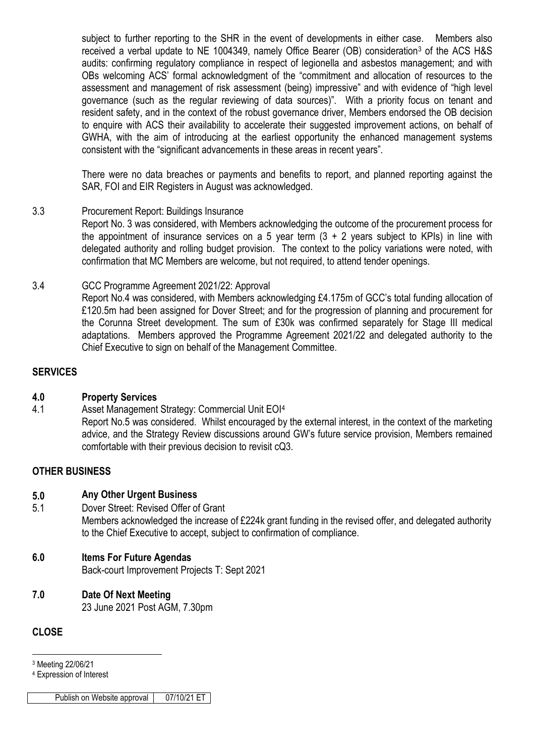subject to further reporting to the SHR in the event of developments in either case. Members also received a verbal update to NE 1004349, namely Office Bearer (OB) consideration<sup>3</sup> of the ACS H&S audits: confirming regulatory compliance in respect of legionella and asbestos management; and with OBs welcoming ACS' formal acknowledgment of the "commitment and allocation of resources to the assessment and management of risk assessment (being) impressive" and with evidence of "high level governance (such as the regular reviewing of data sources)". With a priority focus on tenant and resident safety, and in the context of the robust governance driver, Members endorsed the OB decision to enquire with ACS their availability to accelerate their suggested improvement actions, on behalf of GWHA, with the aim of introducing at the earliest opportunity the enhanced management systems consistent with the "significant advancements in these areas in recent years".

There were no data breaches or payments and benefits to report, and planned reporting against the SAR, FOI and EIR Registers in August was acknowledged.

# 3.3 Procurement Report: Buildings Insurance

Report No. 3 was considered, with Members acknowledging the outcome of the procurement process for the appointment of insurance services on a 5 year term  $(3 + 2)$  years subject to KPIs) in line with delegated authority and rolling budget provision. The context to the policy variations were noted, with confirmation that MC Members are welcome, but not required, to attend tender openings.

#### 3.4 GCC Programme Agreement 2021/22: Approval

Report No.4 was considered, with Members acknowledging £4.175m of GCC's total funding allocation of £120.5m had been assigned for Dover Street; and for the progression of planning and procurement for the Corunna Street development. The sum of £30k was confirmed separately for Stage III medical adaptations. Members approved the Programme Agreement 2021/22 and delegated authority to the Chief Executive to sign on behalf of the Management Committee.

# **SERVICES**

#### **4.0 Property Services**

4.1 Asset Management Strategy: Commercial Unit EOI[4](#page-1-1) Report No.5 was considered. Whilst encouraged by the external interest, in the context of the marketing advice, and the Strategy Review discussions around GW's future service provision, Members remained comfortable with their previous decision to revisit cQ3.

# **OTHER BUSINESS**

- **5.0 Any Other Urgent Business**
- 5.1 Dover Street: Revised Offer of Grant

Members acknowledged the increase of £224k grant funding in the revised offer, and delegated authority to the Chief Executive to accept, subject to confirmation of compliance.

# **6.0 Items For Future Agendas**

Back-court Improvement Projects T: Sept 2021

# **7.0 Date Of Next Meeting**

23 June 2021 Post AGM, 7.30pm

# **CLOSE**

-<sup>3</sup> Meeting 22/06/21

<span id="page-1-1"></span><span id="page-1-0"></span><sup>4</sup> Expression of Interest

Publish on Website approval | 07/10/21 ET